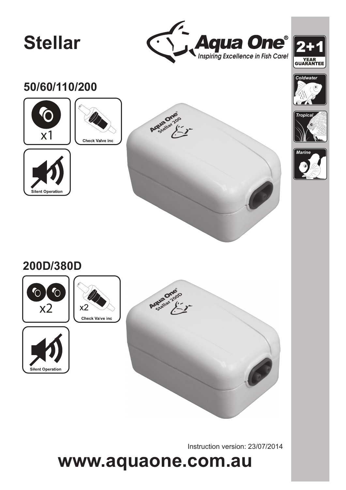# **Stellar**





*Coldwater*





**Silent Operation** 









# **200D/380D**











Instruction version: 23/07/2014

# **www.aquaone.com.au**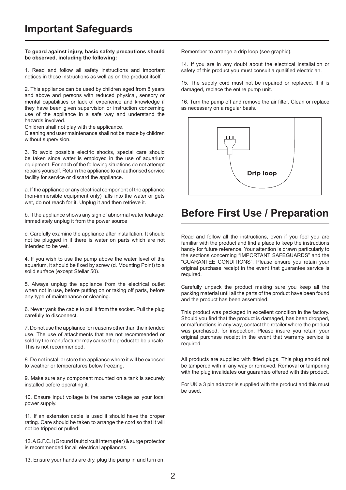#### **To guard against injury, basic safety precautions should be observed, including the following:**

1. Read and follow all safety instructions and important notices in these instructions as well as on the product itself.

2. This appliance can be used by children aged from 8 years and above and persons with reduced physical, sensory or mental capabilities or lack of experience and knowledge if they have been given supervision or instruction concerning use of the appliance in a safe way and understand the hazards involved.

Children shall not play with the applicance.

Cleaning and user maintenance shall not be made by children without supervision.

3. To avoid possible electric shocks, special care should be taken since water is employed in the use of aquarium equipment. For each of the following situations do not attempt repairs yourself. Return the appliance to an authorised service facility for service or discard the appliance.

a. If the appliance or any electrical component of the appliance (non-immersible equipment only) falls into the water or gets wet, do not reach for it. Unplug it and then retrieve it.

b. If the appliance shows any sign of abnormal water leakage, immediately unplug it from the power source

c. Carefully examine the appliance after installation. It should not be plugged in if there is water on parts which are not intended to be wet.

4. If you wish to use the pump above the water level of the aquarium, it should be fixed by screw (d. Mounting Point) to a solid surface (except Stellar 50).

5. Always unplug the appliance from the electrical outlet when not in use, before putting on or taking off parts, before any type of maintenance or cleaning.

6. Never yank the cable to pull it from the socket. Pull the plug carefully to disconnect.

7. Do not use the appliance for reasons other than the intended use. The use of attachments that are not recommended or sold by the manufacturer may cause the product to be unsafe. This is not recommended.

8. Do not install or store the appliance where it will be exposed to weather or temperatures below freezing.

9. Make sure any component mounted on a tank is securely installed before operating it.

10. Ensure input voltage is the same voltage as your local power supply.

11. If an extension cable is used it should have the proper rating. Care should be taken to arrange the cord so that it will not be tripped or pulled.

12. A G.F.C.I (Ground fault circuit interrupter) & surge protector is recommended for all electrical appliances.

Remember to arrange a drip loop (see graphic).

14. If you are in any doubt about the electrical installation or safety of this product you must consult a qualified electrician.

15. The supply cord must not be repaired or replaced. If it is damaged, replace the entire pump unit.

16. Turn the pump off and remove the air filter. Clean or replace as necessary on a regular basis.



# **Before First Use / Preparation**

Read and follow all the instructions, even if you feel you are familiar with the product and find a place to keep the instructions handy for future reference. Your attention is drawn particularly to the sections concerning "IMPORTANT SAFEGUARDS" and the "GUARANTEE CONDITIONS". Please ensure you retain your original purchase receipt in the event that guarantee service is required.

Carefully unpack the product making sure you keep all the packing material until all the parts of the product have been found and the product has been assembled.

This product was packaged in excellent condition in the factory. Should you find that the product is damaged, has been dropped, or malfunctions in any way, contact the retailer where the product was purchased, for inspection. Please insure you retain your original purchase receipt in the event that warranty service is required.

All products are supplied with fitted plugs. This plug should not be tampered with in any way or removed. Removal or tampering with the plug invalidates our guarantee offered with this product.

For UK a 3 pin adaptor is supplied with the product and this must be used.

13. Ensure your hands are dry, plug the pump in and turn on.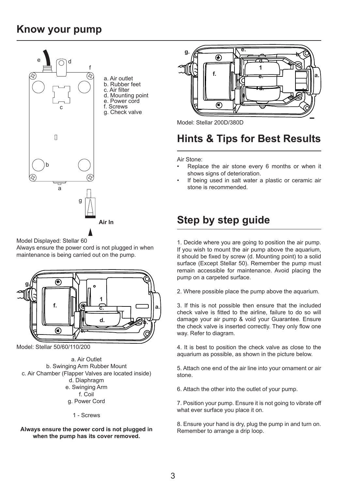## **Know your pump**



Model Displayed: Stellar 60

Always ensure the power cord is not plugged in when maintenance is being carried out on the pump.



Model: Stellar 50/60/110/200

a. Air Outlet b. Swinging Arm Rubber Mount c. Air Chamber (Flapper Valves are located inside) d. Diaphragm e. Swinging Arm f. Coil g. Power Cord

1 - Screws

### **Always ensure the power cord is not plugged in when the pump has its cover removed.**



Model: Stellar 200D/380D

# **Hints & Tips for Best Results**

Air Stone:

- Replace the air stone every 6 months or when it shows signs of deterioration.
- If being used in salt water a plastic or ceramic air stone is recommended.

# **Air In Step by step guide**

1. Decide where you are going to position the air pump. If you wish to mount the air pump above the aquarium, it should be fixed by screw (d. Mounting point) to a solid surface (Except Stellar 50). Remember the pump must remain accessible for maintenance. Avoid placing the pump on a carpeted surface.

2. Where possible place the pump above the aquarium.

3. If this is not possible then ensure that the included check valve is fitted to the airline, failure to do so will damage your air pump & void your Guarantee. Ensure the check valve is inserted correctly. They only flow one way. Refer to diagram.

4. It is best to position the check valve as close to the aquarium as possible, as shown in the picture below.

5. Attach one end of the air line into your ornament or air stone.

6. Attach the other into the outlet of your pump.

7. Position your pump. Ensure it is not going to vibrate off what ever surface you place it on.

8. Ensure your hand is dry, plug the pump in and turn on. Remember to arrange a drip loop.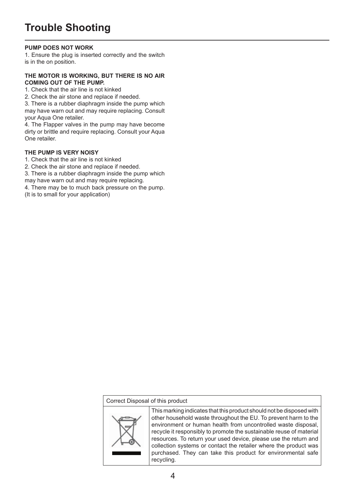# **Trouble Shooting**

### **PUMP DOES NOT WORK**

1. Ensure the plug is inserted correctly and the switch is in the on position.

### **THE MOTOR IS WORKING, BUT THERE IS NO AIR COMING OUT OF THE PUMP.**

1. Check that the air line is not kinked

2. Check the air stone and replace if needed.

3. There is a rubber diaphragm inside the pump which may have warn out and may require replacing. Consult your Aqua One retailer.

4. The Flapper valves in the pump may have become dirty or brittle and require replacing. Consult your Aqua One retailer.

### **THE PUMP IS VERY NOISY**

1. Check that the air line is not kinked

2. Check the air stone and replace if needed.

3. There is a rubber diaphragm inside the pump which may have warn out and may require replacing.

4. There may be to much back pressure on the pump. (It is to small for your application)

### Correct Disposal of this product



This marking indicates that this product should not be disposed with other household waste throughout the EU. To prevent harm to the environment or human health from uncontrolled waste disposal, recycle it responsibly to promote the sustainable reuse of material resources. To return your used device, please use the return and collection systems or contact the retailer where the product was purchased. They can take this product for environmental safe recycling.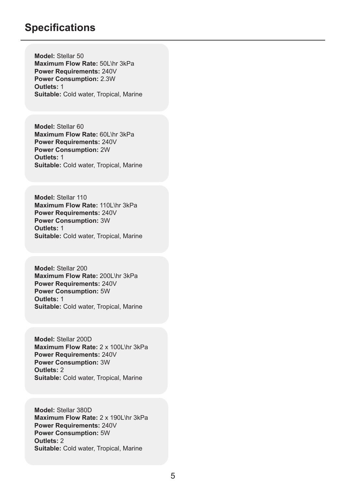### **Specifications**

**Model:** Stellar 50 **Maximum Flow Rate:** 50L\hr 3kPa **Power Requirements:** 240V **Power Consumption:** 2.3W **Outlets:** 1 **Suitable:** Cold water, Tropical, Marine

**Model:** Stellar 60 **Maximum Flow Rate:** 60L\hr 3kPa **Power Requirements:** 240V **Power Consumption:** 2W **Outlets:** 1 **Suitable:** Cold water, Tropical, Marine

**Model:** Stellar 110 **Maximum Flow Rate:** 110L\hr 3kPa **Power Requirements:** 240V **Power Consumption:** 3W **Outlets:** 1 **Suitable:** Cold water, Tropical, Marine

**Model:** Stellar 200 **Maximum Flow Rate:** 200L\hr 3kPa **Power Requirements:** 240V **Power Consumption:** 5W **Outlets:** 1 **Suitable:** Cold water, Tropical, Marine

**Model:** Stellar 200D **Maximum Flow Rate:** 2 x 100L\hr 3kPa **Power Requirements:** 240V **Power Consumption:** 3W **Outlets:** 2 **Suitable:** Cold water, Tropical, Marine

**Model:** Stellar 380D **Maximum Flow Rate:** 2 x 190L\hr 3kPa **Power Requirements:** 240V **Power Consumption:** 5W **Outlets:** 2 **Suitable:** Cold water, Tropical, Marine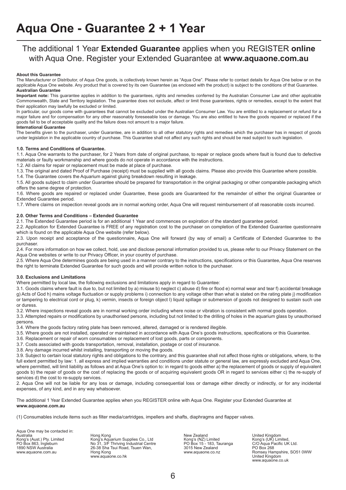### The additional 1 Year **Extended Guarantee** applies when you REGISTER **online** with Aqua One. Register your Extended Guarantee at **www.aquaone.com.au**

#### **About this Guarantee**

The Manufacturer or Distributor, of Aqua One goods, is collectively known herein as "Aqua One". Please refer to contact details for Aqua One below or on the applicable Aqua One website. Any product that is covered by its own Guarantee (as enclosed with the product) is subject to the conditions of that Guarantee. **Australian Guarantee**

**Important note:** This guarantee applies in addition to the guarantees, rights and remedies conferred by the Australian Consumer Law and other applicable Commonwealth, State and Territory legislation. The guarantee does not exclude, affect or limit those guarantees, rights or remedies, except to the extent that their application may lawfully be excluded or limited.

In particular, our goods come with guarantees that cannot be excluded under the Australian Consumer Law. You are entitled to a replacement or refund for a major failure and for compensation for any other reasonably foreseeable loss or damage. You are also entitled to have the goods repaired or replaced if the goods fail to be of acceptable quality and the failure does not amount to a major failure.

#### **International Guarantee**

The benefits given to the purchaser, under Guarantee, are in addition to all other statutory rights and remedies which the purchaser has in respect of goods under legislation in the applicable country of purchase. This Guarantee shall not affect any such rights and should be read subject to such legislation.

#### **1.0. Terms and Conditions of Guarantee.**

1.1. Aqua One warrants to the purchaser, for 2 Years from date of original purchase, to repair or replace goods where fault is found due to defective materials or faulty workmanship and where goods do not operate in accordance with the instructions.

1.2. All claims for repair or replacement must be made at place of purchase.

1.3. The original and dated Proof of Purchase (receipt) must be supplied with all goods claims. Please also provide this Guarantee where possible.

1.4. The Guarantee covers the Aquarium against gluing breakdown resulting in leakage.

1.5. All goods subject to claim under Guarantee should be prepared for transportation in the original packaging or other comparable packaging which offers the same degree of protection.

1.6. Where goods are repaired or replaced under Guarantee, these goods are Guaranteed for the remainder of either the original Guarantee or Extended Guarantee period.

1.7. Where claims on inspection reveal goods are in normal working order, Aqua One will request reimbursement of all reasonable costs incurred.

#### **2.0. Other Terms and Conditions – Extended Guarantee**

2.1. The Extended Guarantee period is for an additional 1 Year and commences on expiration of the standard guarantee period.

2.2. Application for Extended Guarantee is FREE of any registration cost to the purchaser on completion of the Extended Guarantee questionnaire which is found on the applicable Aqua One website (refer below).

2.3. Upon receipt and acceptance of the questionnaire, Aqua One will forward (by way of email) a Certificate of Extended Guarantee to the purchaser.

2.4. For more information on how we collect, hold, use and disclose personal information provided to us, please refer to our Privacy Statement on the Aqua One websites or write to our Privacy Officer, in your country of purchase.

2.5. Where Aqua One determines goods are being used in a manner contrary to the instructions, specifications or this Guarantee, Aqua One reserves the right to terminate Extended Guarantee for such goods and will provide written notice to the purchaser.

#### **3.0. Exclusions and Limitations**

Where permitted by local law, the following exclusions and limitations apply in regard to Guarantee:

3.1. Goods claims where fault is due to, but not limited by a) misuse b) neglect c) abuse d) fire or flood e) normal wear and tear f) accidental breakage g) Acts of God h) mains voltage fluctuation or supply problems i) connection to any voltage other than what is stated on the rating plate j) modification or tampering to electrical cord or plug, k) vermin, insects or foreign object l) liquid spillage or submersion of goods not designed to sustain such use or duress.

3.2. Where inspections reveal goods are in normal working order including where noise or vibration is consistent with normal goods operation.

3.3. Attempted repairs or modifications by unauthorised persons, including but not limited to the drilling of holes in the aquarium glass by unauthorised persons.

3.4. Where the goods factory rating plate has been removed, altered, damaged or is rendered illegible.

3.5. Where goods are not installed, operated or maintained in accordance with Aqua One's goods instructions, specifications or this Guarantee.

- 3.6. Replacement or repair of worn consumables or replacement of lost goods, parts or components.
- 3.7. Costs associated with goods transportation, removal, installation, postage or cost of insurance.

3.8. Any damage incurred whilst installing, transporting or moving the goods.

3.9. Subject to certain local statutory rights and obligations to the contrary, and this guarantee shall not affect those rights or obligations, where, to the full extent permitted by law: 1, all express and implied warranties and conditions under statute or general law, are expressly excluded and Aqua One. where permitted, will limit liability as follows and at Aqua One's option to: in regard to goods either a) the replacement of goods or supply of equivalent goods b) the repair of goods or the cost of replacing the goods or of acquiring equivalent goods OR in regard to services either c) the re-supply of services d) the cost to re-supply services.

2. Aqua One will not be liable for any loss or damage, including consequential loss or damage either directly or indirectly, or for any incidental expenses, of any kind, and in any way whatsoever.

The additional 1 Year Extended Guarantee applies when you REGISTER online with Aqua One. Register your Extended Guarantee at **www.aquaone.com.au**

(1) Consumables include items such as filter media/cartridges, impellers and shafts, diaphragms and flapper valves.

Aqua One may be contacted in:

Australia Hong Kong New Zealand United Kingdom Kong's (Aust.) Pty. Limited Kong's Aquarium Supplies Co., Ltd Kong's (NZ) Limited Kong's (UK) Limited, PO Box 863, Ingleburn No 31, 3/F Thriving Industrial Centre PO Box 15 - 183, Tauranga C/O Aqua Pacific UK Ltd. 1890 NSW Australia 26-38 Sha Tsui Road, Tsuen Wan, 3015 New Zealand PO Box 268 ww.aquaone.com.au Company Company Company Company Company Company Company Company Company Romsey Hampshire, SO51 0WW<br>www.aquaone.com.au www.aquaone.co.hk www.aquaone.co.hk United Kingdom www.aquaone.co.hk

www.aquaone.co.uk